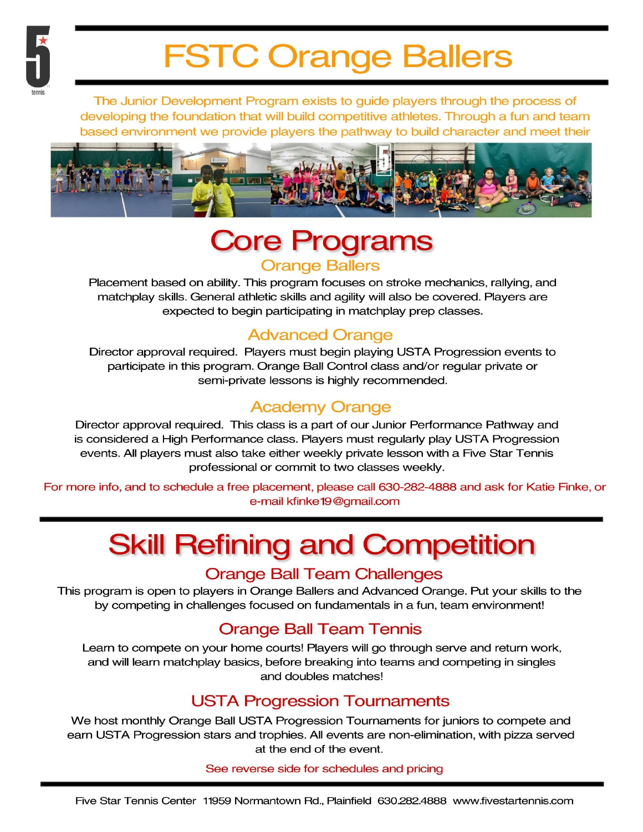

# **FSTC Orange Ballers**

The Junior Development Program exists to guide players through the process of developing the foundation that will build competitive athletes. Through a fun and team based environment we provide players the pathway to build character and meet their



## **Core Programs Orange Ballers**

Placement based on ability. This program focuses on stroke mechanics, rallying, and matchplay skills. General athletic skills and agility will also be covered. Players are expected to begin participating in matchplay prep classes.

### **Advanced Orange**

Director approval required. Players must begin playing USTA Progression events to participate in this program. Orange Ball Control class and/or regular private or semi-private lessons is highly recommended.

### **Academy Orange**

Director approval required. This class is a part of our Junior Performance Pathway and is considered a High Performance class. Players must regularly play USTA Progression events. All players must also take either weekly private lesson with a Five Star Tennis professional or commit to two classes weekly.

For more info, and to schedule a free placement, please call 630-282-4888 and ask for Katie Finke, or e-mail kfinke 19@gmail.com

# **Skill Refining and Competition**

#### **Orange Ball Team Challenges**

This program is open to players in Orange Ballers and Advanced Orange. Put your skills to the by competing in challenges focused on fundamentals in a fun, team environment!

### **Orange Ball Team Tennis**

Learn to compete on your home courts! Players will go through serve and return work, and will learn matchplay basics, before breaking into teams and competing in singles and doubles matches!

### **USTA Progression Tournaments**

We host monthly Orange Ball USTA Progression Tournaments for juniors to compete and earn USTA Progression stars and trophies. All events are non-elimination, with pizza served at the end of the event.

See reverse side for schedules and pricing